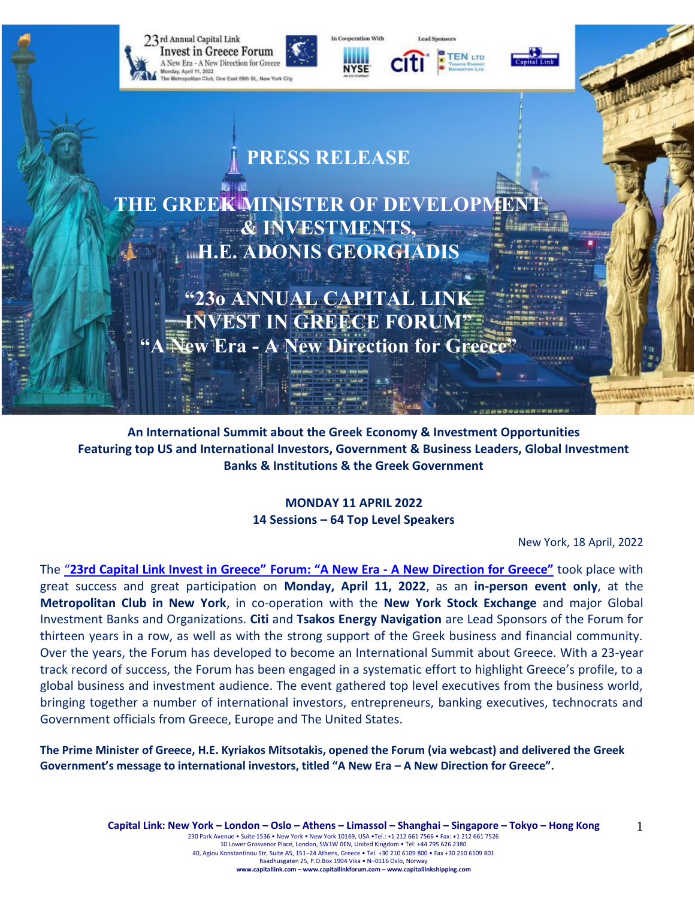





**TEN LTD** 



# **PRESS RELEASE**

**THE GREEK MINISTER OF DEVELOPME & INVESTMENTS, H.E. ADONIS GEORGIADIS**

 $\mathbb{H}$  is the  $\mathbb{H}$ 

**"23ο ANNUAL CAPITAL LINK INVEST IN GREECE FORUM" Example 1 A New Direction for Greece** 

**An International Summit about the Greek Economy & Investment Opportunities Featuring top US and International Investors, Government & Business Leaders, Global Investment Banks & Institutions & the Greek Government**

> **MONDAY 11 APRIL 2022 14 Sessions – 64 Top Level Speakers**

> > New York, 18 April, 2022

The "**[23rd Capital Link Invest in Greece"](https://forums.capitallink.com/greece/2021/) Forum: "A New Era - A New Direction for Greece"** took place with great success and great participation on **Monday, April 11, 2022**, as an **in-person event only**, at the **Metropolitan Club in New York**, in co-operation with the **New York Stock Exchange** and major Global Investment Banks and Organizations. **Citi** and **Tsakos Energy Navigation** are Lead Sponsors of the Forum for thirteen years in a row, as well as with the strong support of the Greek business and financial community. Over the years, the Forum has developed to become an International Summit about Greece. With a 23-year track record of success, the Forum has been engaged in a systematic effort to highlight Greece's profile, to a global business and investment audience. The event gathered top level executives from the business world, bringing together a number of international investors, entrepreneurs, banking executives, technocrats and Government officials from Greece, Europe and The United States.

**The Prime Minister of Greece, H.E. Kyriakos Mitsotakis, opened the Forum (via webcast) and delivered the Greek Government's message to international investors, titled "A New Era – A New Direction for Greece".**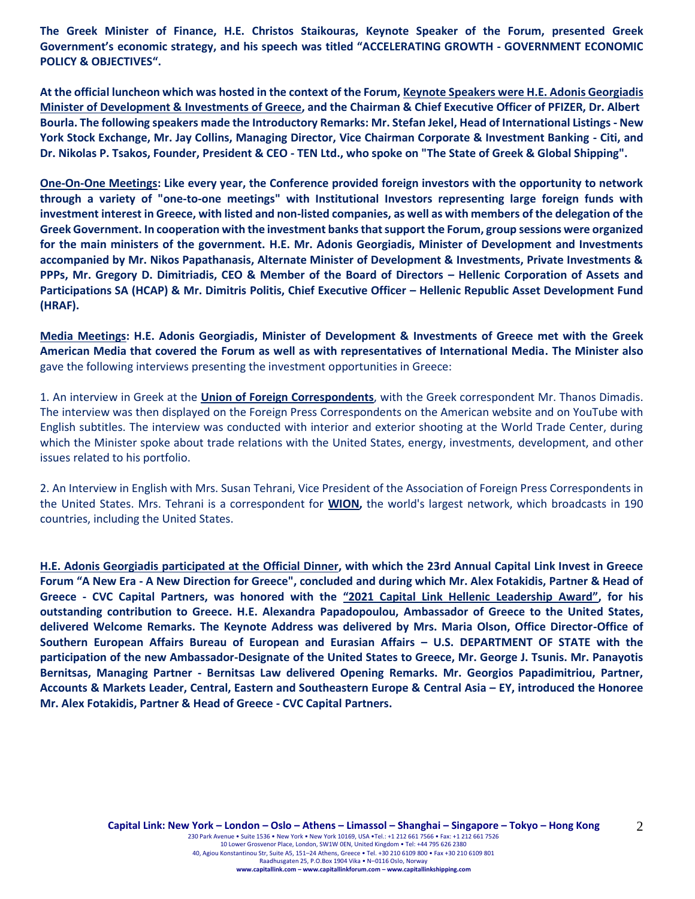**The Greek Minister of Finance, H.E. Christos Staikouras, Keynote Speaker of the Forum, presented Greek Government's economic strategy, and his speech was titled "ACCELERATING GROWTH - GOVERNMENT ECONOMIC POLICY & OBJECTIVES".**

**At the official luncheon which was hosted in the context of the Forum, Keynote Speakers were H.E. Adonis Georgiadis Minister of Development & Investments of Greece, and the Chairman & Chief Executive Officer of PFIZER, Dr. Albert Bourla. The following speakers made the Introductory Remarks: Mr. Stefan Jekel, Head of International Listings - New York Stock Exchange, Mr. Jay Collins, Managing Director, Vice Chairman Corporate & Investment Banking - Citi, and Dr. Nikolas P. Tsakos, Founder, President & CEO - TEN Ltd., who spoke on "The State of Greek & Global Shipping".**

**One-On-One Meetings: Like every year, the Conference provided foreign investors with the opportunity to network through a variety of "one-to-one meetings" with Institutional Investors representing large foreign funds with investment interest in Greece, with listed and non-listed companies, as well as with members of the delegation of the Greek Government. In cooperation with the investment banks that support the Forum, group sessions were organized for the main ministers of the government. H.E. Mr. Adonis Georgiadis, Minister of Development and Investments accompanied by Mr. Nikos Papathanasis, Alternate Minister of Development & Investments, Private Investments & PPPs, Mr. Gregory D. Dimitriadis, CEO & Member of the Board of Directors – Hellenic Corporation of Assets and Participations SA (HCAP) & Mr. Dimitris Politis, Chief Executive Officer – Hellenic Republic Asset Development Fund (HRAF).**

**Media Meetings: H.E. Adonis Georgiadis, Minister of Development & Investments of Greece met with the Greek American Media that covered the Forum as well as with representatives of International Media. The Minister also** gave the following interviews presenting the investment opportunities in Greece:

1. An interview in Greek at the **Union of Foreign Correspondents**, with the Greek correspondent Mr. Thanos Dimadis. The interview was then displayed on the Foreign Press Correspondents on the American website and on YouTube with English subtitles. The interview was conducted with interior and exterior shooting at the World Trade Center, during which the Minister spoke about trade relations with the United States, energy, investments, development, and other issues related to his portfolio.

2. An Interview in English with Mrs. Susan Tehrani, Vice President of the Association of Foreign Press Correspondents in the United States. Mrs. Tehrani is a correspondent for **WION,** the world's largest network, which broadcasts in 190 countries, including the United States.

**H.E. Adonis Georgiadis participated at the Official Dinner, with which the 23rd Annual Capital Link Invest in Greece Forum "A New Era - A New Direction for Greece", concluded and during which Mr. Alex Fotakidis, Partner & Head of Greece - CVC Capital Partners, was honored with the "2021 Capital Link Hellenic Leadership Award", for his outstanding contribution to Greece. H.E. Alexandra Papadopoulou, Ambassador of Greece to the United States, delivered Welcome Remarks. The Keynote Address was delivered by Mrs. Maria Olson, Office Director-Office of Southern European Affairs Bureau of European and Eurasian Affairs – U.S. DEPARTMENT OF STATE with the participation of the new Ambassador-Designate of the United States to Greece, Mr. George J. Tsunis. Mr. Panayotis Bernitsas, Managing Partner - Bernitsas Law delivered Opening Remarks. Mr. Georgios Papadimitriou, Partner, Accounts & Markets Leader, Central, Eastern and Southeastern Europe & Central Asia – EY, introduced the Honoree Mr. Alex Fotakidis, Partner & Head of Greece - CVC Capital Partners.**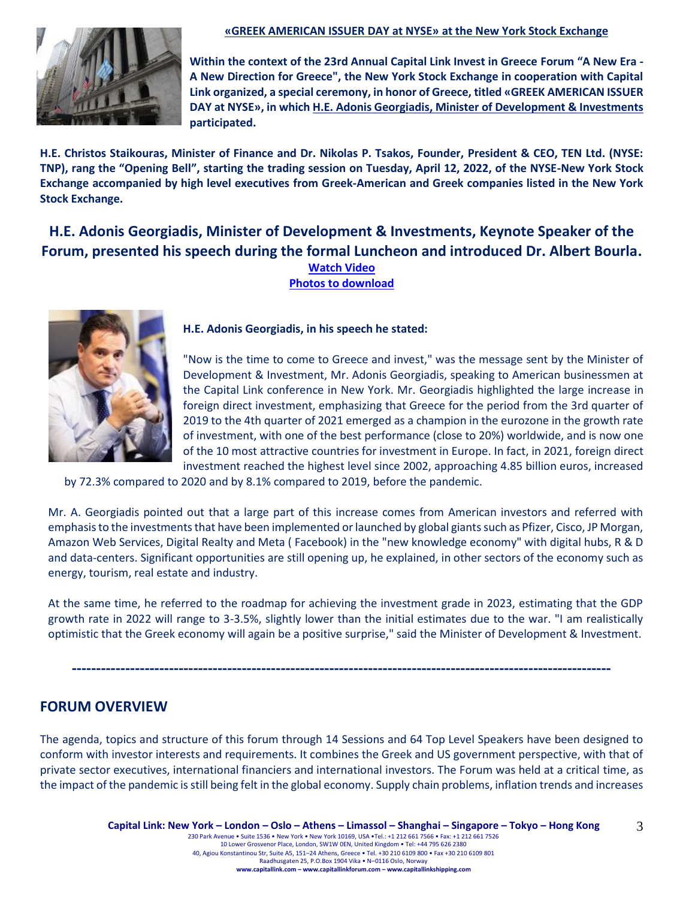

#### **«GREEK AMERICAN ISSUER DAY at NYSE» at the New York Stock Exchange**

**Within the context of the 23rd Annual Capital Link Invest in Greece Forum "A New Era - A New Direction for Greece", the New York Stock Exchange in cooperation with Capital Link organized, a special ceremony, in honor of Greece, titled «GREEK AMERICAN ISSUER DAY at NYSE», in which H.E. Adonis Georgiadis, Minister of Development & Investments participated.**

**H.E. Christos Staikouras, Minister of Finance and Dr. Nikolas P. Tsakos, Founder, President & CEO, TEN Ltd. (NYSE: TNP), rang the "Opening Bell", starting the trading session on Tuesday, April 12, 2022, of the NYSE-New York Stock Exchange accompanied by high level executives from Greek-American and Greek companies listed in the New York Stock Exchange.**

## **H.E. Adonis Georgiadis, Minister of Development & Investments, Keynote Speaker of the Forum, presented his speech during the formal Luncheon and introduced Dr. Albert Bourla. [Watch Video](https://www.youtube.com/watch?v=8BTbKk4NXlU) [Photos to download](https://forums.capitallink.com/greece/2021/images/zip/MINISTER-GEORGIADIS.zip)**



#### **H.E. Adonis Georgiadis, in his speech he stated:**

"Now is the time to come to Greece and invest," was the message sent by the Minister of Development & Investment, Mr. Adonis Georgiadis, speaking to American businessmen at the Capital Link conference in New York. Mr. Georgiadis highlighted the large increase in foreign direct investment, emphasizing that Greece for the period from the 3rd quarter of 2019 to the 4th quarter of 2021 emerged as a champion in the eurozone in the growth rate of investment, with one of the best performance (close to 20%) worldwide, and is now one of the 10 most attractive countries for investment in Europe. In fact, in 2021, foreign direct investment reached the highest level since 2002, approaching 4.85 billion euros, increased

by 72.3% compared to 2020 and by 8.1% compared to 2019, before the pandemic.

Mr. A. Georgiadis pointed out that a large part of this increase comes from American investors and referred with emphasis to the investments that have been implemented or launched by global giants such as Pfizer, Cisco, JP Morgan, Amazon Web Services, Digital Realty and Meta ( Facebook) in the "new knowledge economy" with digital hubs, R & D and data-centers. Significant opportunities are still opening up, he explained, in other sectors of the economy such as energy, tourism, real estate and industry.

At the same time, he referred to the roadmap for achieving the investment grade in 2023, estimating that the GDP growth rate in 2022 will range to 3-3.5%, slightly lower than the initial estimates due to the war. "I am realistically optimistic that the Greek economy will again be a positive surprise," said the Minister of Development & Investment.

**---------------------------------------------------------------------------------------------------------------**

## **FORUM OVERVIEW**

The agenda, topics and structure of this forum through 14 Sessions and 64 Top Level Speakers have been designed to conform with investor interests and requirements. It combines the Greek and US government perspective, with that of private sector executives, international financiers and international investors. The Forum was held at a critical time, as the impact of the pandemic is still being felt in the global economy. Supply chain problems, inflation trends and increases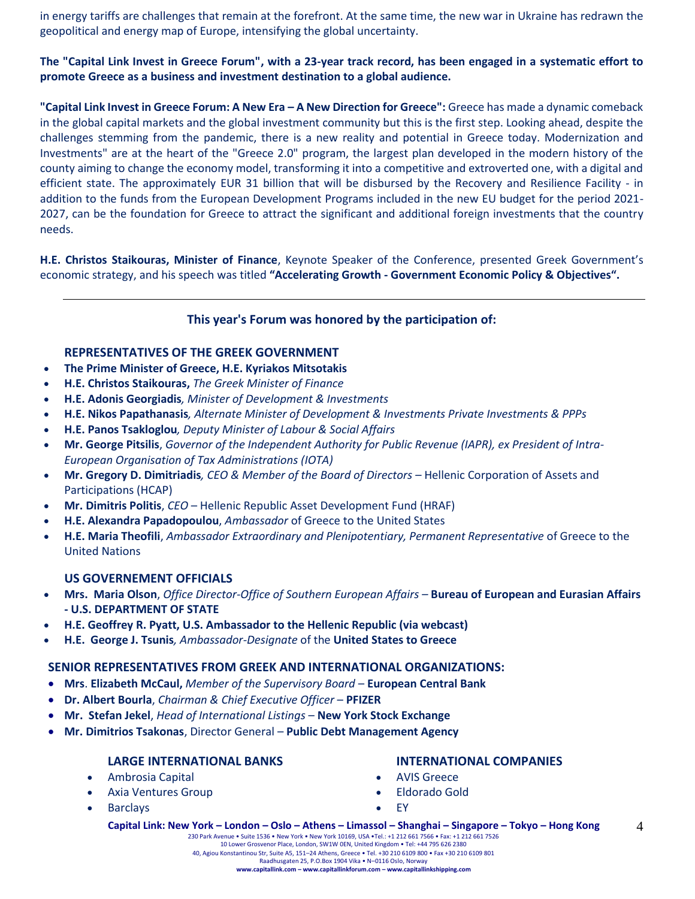in energy tariffs are challenges that remain at the forefront. At the same time, the new war in Ukraine has redrawn the geopolitical and energy map of Europe, intensifying the global uncertainty.

### **The "Capital Link Invest in Greece Forum", with a 23-year track record, has been engaged in a systematic effort to promote Greece as a business and investment destination to a global audience.**

**"Capital Link Invest in Greece Forum: A New Era – A New Direction for Greece":** Greece has made a dynamic comeback in the global capital markets and the global investment community but this is the first step. Looking ahead, despite the challenges stemming from the pandemic, there is a new reality and potential in Greece today. Modernization and Investments" are at the heart of the "Greece 2.0" program, the largest plan developed in the modern history of the county aiming to change the economy model, transforming it into a competitive and extroverted one, with a digital and efficient state. The approximately EUR 31 billion that will be disbursed by the Recovery and Resilience Facility - in addition to the funds from the European Development Programs included in the new EU budget for the period 2021- 2027, can be the foundation for Greece to attract the significant and additional foreign investments that the country needs.

**H.E. Christos Staikouras, Minister of Finance**, Keynote Speaker of the Conference, presented Greek Government's economic strategy, and his speech was titled **"Accelerating Growth - Government Economic Policy & Objectives".**

### **This year's Forum was honored by the participation of:**

#### **REPRESENTATIVES OF THE GREEK GOVERNMENT**

- **The Prime Minister of Greece, H.E. Kyriakos Mitsotakis**
- **H.E. Christos Staikouras,** *The Greek Minister of Finance*
- **H.E. Adonis Georgiadis***, Minister of Development & Investments*
- **Η.Ε. Nikos Papathanasis***, Alternate Minister of Development & Investments Private Investments & PPPs*
- **H.E. Panos Tsakloglou***, Deputy Minister of Labour & Social Affairs*
- **Mr. George Pitsilis**, *Governor of the Independent Authority for Public Revenue (IAPR), ex President of Intra-European Organisation of Tax Administrations (IOTA)*
- **Mr. Gregory D. Dimitriadis***, CEO & Member of the Board of Directors –* Hellenic Corporation of Assets and Participations (HCAP)
- **Mr. Dimitris Politis**, *CEO* Hellenic Republic Asset Development Fund (HRAF)
- **H.E. Alexandra Papadopoulou**, *Ambassador* of Greece to the United States
- **H.E. Maria Theofili**, *Ambassador Extraordinary and Plenipotentiary, Permanent Representative* of Greece to the United Nations

#### **US GOVERNEMENT OFFICIALS**

- **Mrs. Maria Olson**, *Office Director-Office of Southern European Affairs –* **Bureau of European and Eurasian Affairs - U.S. DEPARTMENT OF STATE**
- **H.E. Geoffrey R. Pyatt, U.S. Ambassador to the Hellenic Republic (via webcast)**
- **H.E. George J. Tsunis***, Ambassador-Designate* of the **United States to Greece**

#### **SENIOR REPRESENTATIVES FROM GREEK AND INTERNATIONAL ORGANIZATIONS:**

- **Mrs**. **Elizabeth McCaul,** *Member of the Supervisory Board* **European Central Bank**
- **Dr. Albert Bourla**, *Chairman & Chief Executive Officer* **PFIZER**
- **Mr. Stefan Jekel**, *Head of International Listings* **New York Stock Exchange**
- **Mr. Dimitrios Tsakonas**, Director General **Public Debt Management Agency**

#### **LARGE INTERNATIONAL BANKS**

- Ambrosia Capital
- Axia Ventures Group
- Barclays

#### **INTERNATIONAL COMPANIES**

- AVIS Greece
- Eldorado Gold
- EY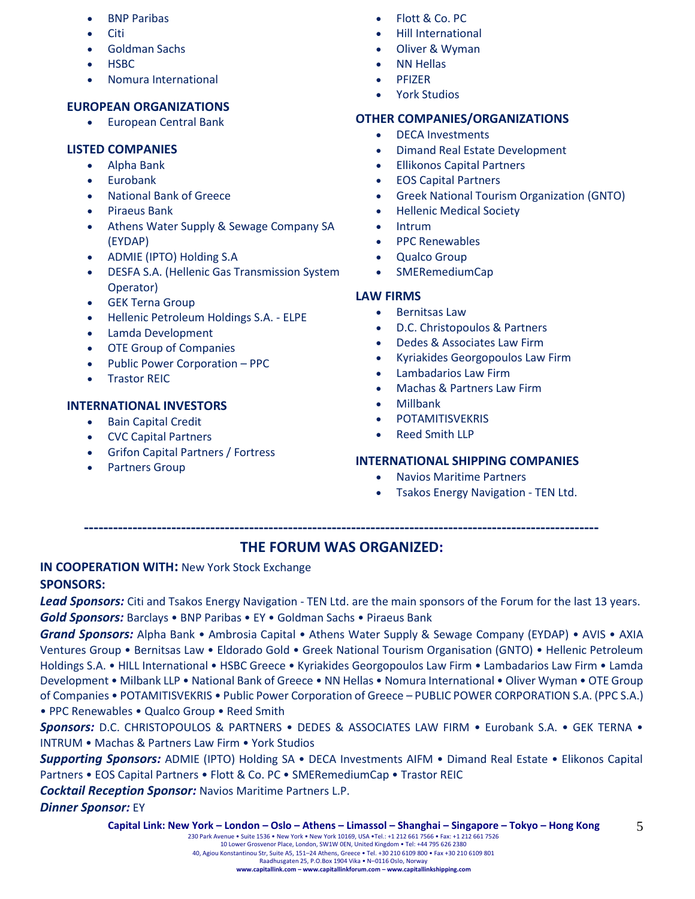- BNP Paribas
- Citi
- Goldman Sachs
- HSBC
- Nomura International

## **EUROPEAN ORGANIZATIONS**

• European Central Bank

## **LISTED COMPANIES**

- Alpha Bank
- Eurobank
- National Bank of Greece
- Piraeus Bank
- Athens Water Supply & Sewage Company SA (EYDAP)
- ADMIE (IPTO) Holding S.A
- DESFA S.A. (Hellenic Gas Transmission System Operator)
- GEK Terna Group
- Hellenic Petroleum Holdings S.A. ELPE
- Lamda Development
- OTE Group of Companies
- Public Power Corporation PPC
- Trastor REIC

## **INTERNATIONAL INVESTORS**

- Bain Capital Credit
- CVC Capital Partners
- Grifon Capital Partners / Fortress
- Partners Group
- Flott & Co. PC
- Hill International
- Oliver & Wyman
- NN Hellas
- PFIZER
- York Studios

## **OTHER COMPANIES/ORGANIZATIONS**

- DECA Investments
- Dimand Real Estate Development
- Ellikonos Capital Partners
- EOS Capital Partners
- Greek National Tourism Organization (GNTO)
- Hellenic Medical Society
- **Intrum**
- PPC Renewables
- Qualco Group
- SMERemediumCap

## **LAW FIRMS**

- Bernitsas Law
- D.C. Christopoulos & Partners
- Dedes & Associates Law Firm
- Kyriakides Georgopoulos Law Firm
- Lambadarios Law Firm
- Machas & Partners Law Firm
- Millbank
- **POTAMITISVEKRIS**
- Reed Smith LLP

## **INTERNATIONAL SHIPPING COMPANIES**

- Navios Maritime Partners
- Tsakos Energy Navigation TEN Ltd.

## **----------------------------------------------------------------------------------------------------------**

## **THE FORUM WAS ORGANIZED:**

# **IN COOPERATION WITH:** New York Stock Exchange

## **SPONSORS:**

*Lead Sponsors:* Citi and Tsakos Energy Navigation - TEN Ltd. are the main sponsors of the Forum for the last 13 years. *Gold Sponsors:* Barclays • BNP Paribas • EY • Goldman Sachs • Piraeus Bank

*Grand Sponsors:* Alpha Bank • Ambrosia Capital • Athens Water Supply & Sewage Company (EYDAP) • AVIS • AXIA Ventures Group • Bernitsas Law • Eldorado Gold • Greek National Tourism Organisation (GNTO) • Hellenic Petroleum Holdings S.A. • HILL International • HSBC Greece • Kyriakides Georgopoulos Law Firm • Lambadarios Law Firm • Lamda Development • Milbank LLP • National Bank of Greece • NN Hellas • Nomura International • Oliver Wyman • OTE Group of Companies • POTAMITISVEKRIS • Public Power Corporation of Greece – PUBLIC POWER CORPORATION S.A. (PPC S.A.) • PPC Renewables • Qualco Group • Reed Smith

*Sponsors:* D.C. CHRISTOPOULOS & PARTNERS • DEDES & ASSOCIATES LAW FIRM • Eurobank S.A. • GEK TERNA • INTRUM • Machas & Partners Law Firm • York Studios

*Supporting Sponsors:* ADMIE (IPTO) Holding SA • DECA Investments AIFM • Dimand Real Estate • Elikonos Capital Partners • EOS Capital Partners • Flott & Co. PC • SMERemediumCap • Trastor REIC

*Cocktail Reception Sponsor:* Navios Maritime Partners L.P.

*Dinner Sponsor:* EY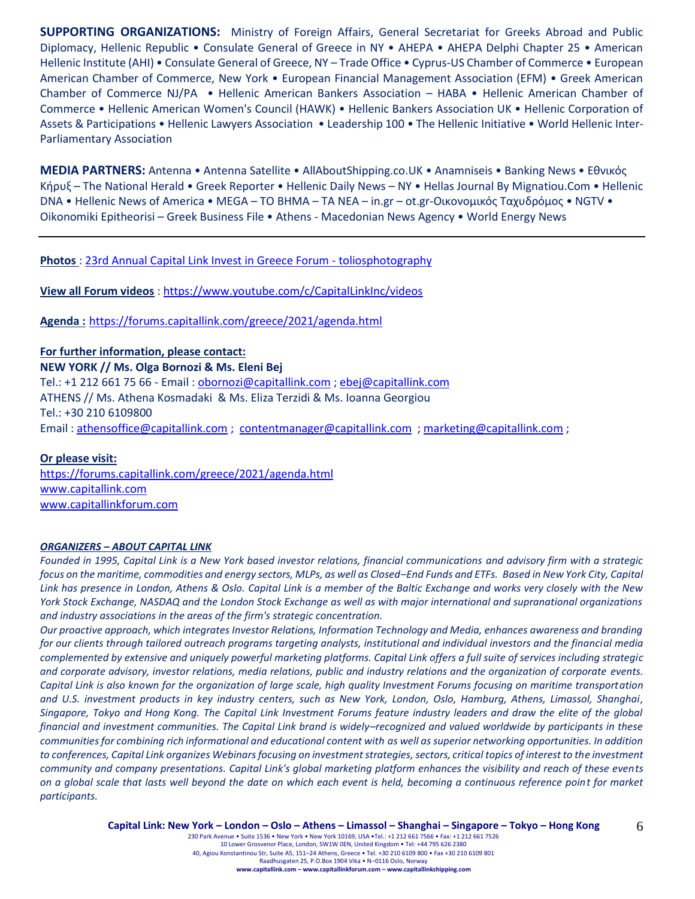**SUPPORTING ORGANIZATIONS:** Ministry of Foreign Affairs, General Secretariat for Greeks Abroad and Public Diplomacy, Hellenic Republic • Consulate General of Greece in NY • AHEPA • AHEPA Delphi Chapter 25 • American Hellenic Institute (AHI) • Consulate General of Greece, NY – Trade Office • Cyprus-US Chamber of Commerce • European American Chamber of Commerce, New York • European Financial Management Association (EFM) • Greek American Chamber of Commerce NJ/PA • Hellenic American Bankers Association – HABA • Hellenic American Chamber of Commerce • Hellenic American Women's Council (HAWK) • Hellenic Bankers Association UK • Hellenic Corporation of Assets & Participations • Hellenic Lawyers Association • Leadership 100 • The Hellenic Initiative • World Hellenic Inter-Parliamentary Association

**MEDIA PARTNERS:** Antenna • Antenna Satellite • AllAboutShipping.co.UK • Anamniseis • Banking News • Εθνικός Κήρυξ – The National Herald • Greek Reporter • Hellenic Daily News – NY • Hellas Journal By Mignatiou.Com • Hellenic DNA • Hellenic News of America • MEGA – TO BHMA – TA NEA – in.gr – ot.gr-Οικονομικός Ταχυδρόμος • NGTV • Oikonomiki Epitheorisi – Greek Business File • Athens - Macedonian News Agency • World Energy News

**Photos** : [23rd Annual Capital Link Invest in Greece Forum -](https://www.toliosphotography.com/ToliosEvents/CAPITAL-LINK-/23rd-Annual-Capital-Link-New-York-City/n-RHX6QD/) toliosphotography

**View all Forum videos** :<https://www.youtube.com/c/CapitalLinkInc/videos>

**Agenda :** <https://forums.capitallink.com/greece/2021/agenda.html>

**For further information, please contact: NEW YORK // Ms. Olga Bornozi & Ms. Eleni Bej**  Tel.: +1 212 661 75 66 - Email : [obornozi@capitallink.com](mailto:obornozi@capitallink.com) [; ebej@capitallink.com](mailto:ebej@capitallink.com) ATHENS // Ms. Athena Kosmadaki & Ms. Eliza Terzidi & Ms. Ioanna Georgiou Tel.: +30 210 6109800 Email : [athensoffice@capitallink.com](mailto:athensoffice@capitallink.com) ; [contentmanager@capitallink.com](mailto:contentmanager@capitallink.com) ; marketing@capitallink.com ;

#### **Or please visit:**

<https://forums.capitallink.com/greece/2021/agenda.html> [www.capitallink.com](http://www.capitallink.com/)  [www.capitallinkforum.com](http://www.capitallinkforum.com/)

#### *ORGANIZERS – ABOUT CAPITAL LINK*

*Founded in 1995, Capital Link is a New York based investor relations, financial communications and advisory firm with a strategic focus on the maritime, commodities and energy sectors, MLPs, as well as Closed–End Funds and ETFs. Based in New York City, Capital Link has presence in London, Athens & Oslo. Capital Link is a member of the Baltic Exchange and works very closely with the New York Stock Exchange, NASDAQ and the London Stock Exchange as well as with major international and supranational organizations and industry associations in the areas of the firm's strategic concentration.*

*Our proactive approach, which integrates Investor Relations, Information Technology and Media, enhances awareness and branding for our clients through tailored outreach programs targeting analysts, institutional and individual investors and the financial media complemented by extensive and uniquely powerful marketing platforms. Capital Link offers a full suite of services including strategic and corporate advisory, investor relations, media relations, public and industry relations and the organization of corporate events. Capital Link is also known for the organization of large scale, high quality Investment Forums focusing on maritime transportation and U.S. investment products in key industry centers, such as New York, London, Oslo, Hamburg, Athens, Limassol, Shanghai, Singapore, Tokyo and Hong Kong. The Capital Link Investment Forums feature industry leaders and draw the elite of the global financial and investment communities. The Capital Link brand is widely–recognized and valued worldwide by participants in these communities for combining rich informational and educational content with as well as superior networking opportunities. In addition to conferences, Capital Link organizes Webinars focusing on investment strategies, sectors, critical topics of interest to the investment community and company presentations. Capital Link's global marketing platform enhances the visibility and reach of these events on a global scale that lasts well beyond the date on which each event is held, becoming a continuous reference point for market participants.*